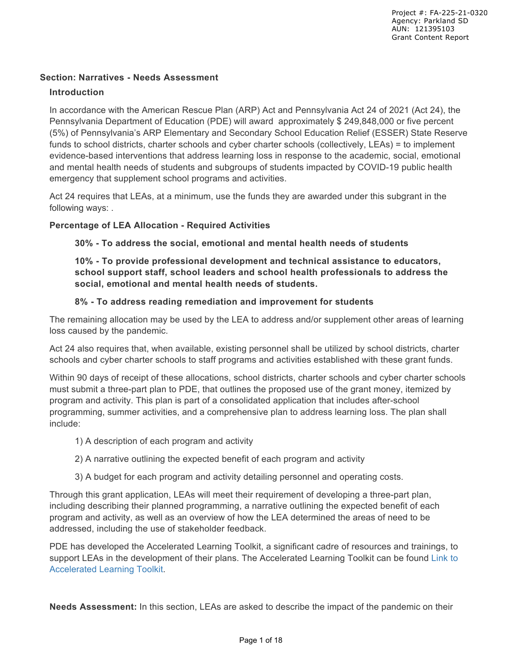#### **Section: Narratives - Needs Assessment**

#### **Introduction**

In accordance with the American Rescue Plan (ARP) Act and Pennsylvania Act 24 of 2021 (Act 24), the Pennsylvania Department of Education (PDE) will award approximately \$ 249,848,000 or five percent (5%) of Pennsylvania's ARP Elementary and Secondary School Education Relief (ESSER) State Reserve funds to school districts, charter schools and cyber charter schools (collectively, LEAs) = to implement evidence-based interventions that address learning loss in response to the academic, social, emotional and mental health needs of students and subgroups of students impacted by COVID-19 public health emergency that supplement school programs and activities.

Act 24 requires that LEAs, at a minimum, use the funds they are awarded under this subgrant in the following ways: .

#### **Percentage of LEA Allocation - Required Activities**

**30% - To address the social, emotional and mental health needs of students**

**10% - To provide professional development and technical assistance to educators, school support staff, school leaders and school health professionals to address the social, emotional and mental health needs of students.** 

#### **8% - To address reading remediation and improvement for students**

The remaining allocation may be used by the LEA to address and/or supplement other areas of learning loss caused by the pandemic.

Act 24 also requires that, when available, existing personnel shall be utilized by school districts, charter schools and cyber charter schools to staff programs and activities established with these grant funds.

Within 90 days of receipt of these allocations, school districts, charter schools and cyber charter schools must submit a three-part plan to PDE, that outlines the proposed use of the grant money, itemized by program and activity. This plan is part of a consolidated application that includes after-school programming, summer activities, and a comprehensive plan to address learning loss. The plan shall include:

- 1) A description of each program and activity
- 2) A narrative outlining the expected benefit of each program and activity
- 3) A budget for each program and activity detailing personnel and operating costs.

Through this grant application, LEAs will meet their requirement of developing a three-part plan, including describing their planned programming, a narrative outlining the expected benefit of each program and activity, as well as an overview of how the LEA determined the areas of need to be addressed, including the use of stakeholder feedback.

PDE has developed the Accelerated Learning Toolkit, a significant cadre of resources and trainings, to [support LEAs in the development of their plans. The Accelerated Learning Toolkit can be found Link to](http://www.education.pa.gov/acceleratedlearning) Accelerated Learning Toolkit.

**Needs Assessment:** In this section, LEAs are asked to describe the impact of the pandemic on their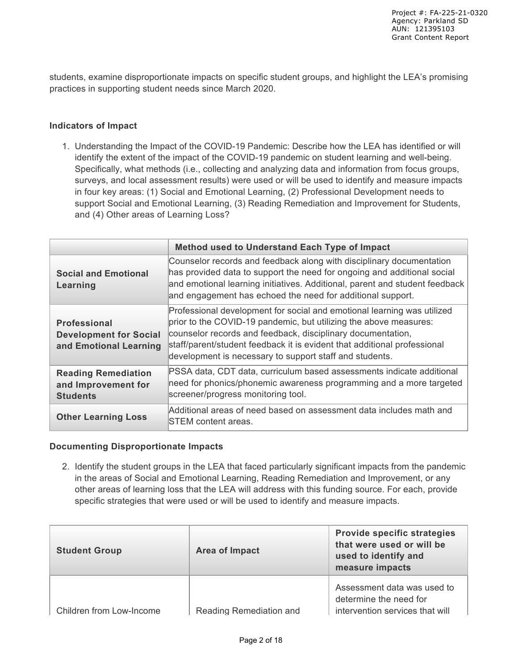students, examine disproportionate impacts on specific student groups, and highlight the LEA's promising practices in supporting student needs since March 2020.

#### **Indicators of Impact**

1. Understanding the Impact of the COVID-19 Pandemic: Describe how the LEA has identified or will identify the extent of the impact of the COVID-19 pandemic on student learning and well-being. Specifically, what methods (i.e., collecting and analyzing data and information from focus groups, surveys, and local assessment results) were used or will be used to identify and measure impacts in four key areas: (1) Social and Emotional Learning, (2) Professional Development needs to support Social and Emotional Learning, (3) Reading Remediation and Improvement for Students, and (4) Other areas of Learning Loss?

|                                                                                | Method used to Understand Each Type of Impact                                                                                                                                                                                                                                                                                                      |
|--------------------------------------------------------------------------------|----------------------------------------------------------------------------------------------------------------------------------------------------------------------------------------------------------------------------------------------------------------------------------------------------------------------------------------------------|
| <b>Social and Emotional</b><br>Learning                                        | Counselor records and feedback along with disciplinary documentation<br>has provided data to support the need for ongoing and additional social<br>and emotional learning initiatives. Additional, parent and student feedback<br>and engagement has echoed the need for additional support.                                                       |
| <b>Professional</b><br><b>Development for Social</b><br>and Emotional Learning | Professional development for social and emotional learning was utilized<br>prior to the COVID-19 pandemic, but utilizing the above measures:<br>counselor records and feedback, disciplinary documentation,<br>staff/parent/student feedback it is evident that additional professional<br>development is necessary to support staff and students. |
| <b>Reading Remediation</b><br>and Improvement for<br><b>Students</b>           | PSSA data, CDT data, curriculum based assessments indicate additional<br>need for phonics/phonemic awareness programming and a more targeted<br>screener/progress monitoring tool.                                                                                                                                                                 |
| <b>Other Learning Loss</b>                                                     | Additional areas of need based on assessment data includes math and<br>ISTEM content areas.                                                                                                                                                                                                                                                        |

#### **Documenting Disproportionate Impacts**

2. Identify the student groups in the LEA that faced particularly significant impacts from the pandemic in the areas of Social and Emotional Learning, Reading Remediation and Improvement, or any other areas of learning loss that the LEA will address with this funding source. For each, provide specific strategies that were used or will be used to identify and measure impacts.

| <b>Student Group</b>     | Area of Impact          | Provide specific strategies<br>that were used or will be<br>used to identify and<br>measure impacts |
|--------------------------|-------------------------|-----------------------------------------------------------------------------------------------------|
| Children from Low-Income | Reading Remediation and | Assessment data was used to<br>determine the need for<br>intervention services that will            |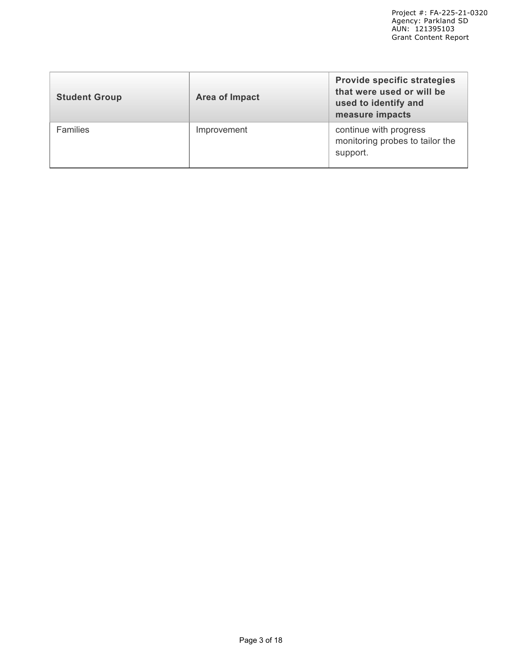| <b>Student Group</b> | <b>Area of Impact</b> | <b>Provide specific strategies</b><br>that were used or will be<br>used to identify and<br>measure impacts |
|----------------------|-----------------------|------------------------------------------------------------------------------------------------------------|
| <b>Families</b>      | Improvement           | continue with progress<br>monitoring probes to tailor the<br>support.                                      |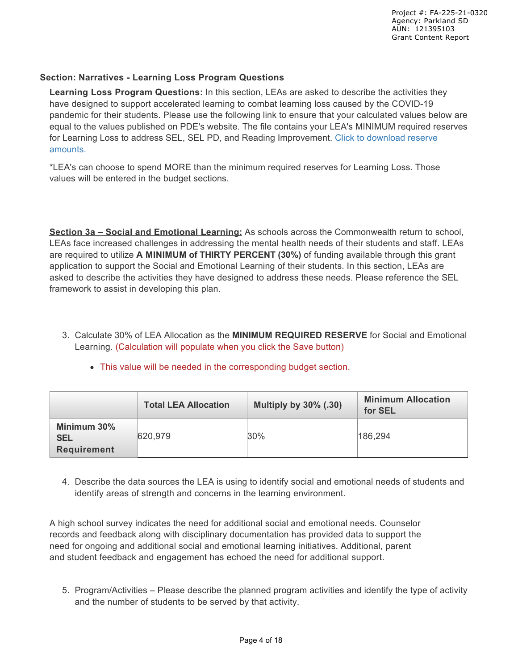#### **Section: Narratives - Learning Loss Program Questions**

**Learning Loss Program Questions:** In this section, LEAs are asked to describe the activities they have designed to support accelerated learning to combat learning loss caused by the COVID-19 pandemic for their students. Please use the following link to ensure that your calculated values below are equal to the values published on PDE's website. The file contains your LEA's MINIMUM required reserves [for Learning Loss to address SEL, SEL PD, and Reading Improvement. Click to download reserve](https://www.education.pa.gov/Documents/K-12/Safe%20Schools/COVID/GuidanceDocuments/ARP%20ESSER%205%20Percent%20Learning%20Loss%20Allocations.xlsx) amounts.

\*LEA's can choose to spend MORE than the minimum required reserves for Learning Loss. Those values will be entered in the budget sections.

**Section 3a – Social and Emotional Learning:** As schools across the Commonwealth return to school, LEAs face increased challenges in addressing the mental health needs of their students and staff. LEAs are required to utilize **A MINIMUM of THIRTY PERCENT (30%)** of funding available through this grant application to support the Social and Emotional Learning of their students. In this section, LEAs are asked to describe the activities they have designed to address these needs. Please reference the SEL framework to assist in developing this plan.

- 3. Calculate 30% of LEA Allocation as the **MINIMUM REQUIRED RESERVE** for Social and Emotional Learning. (Calculation will populate when you click the Save button)
	- This value will be needed in the corresponding budget section.

|                           | <b>Total LEA Allocation</b> | <b>Multiply by 30% (.30)</b> | <b>Minimum Allocation</b><br>for SEL |
|---------------------------|-----------------------------|------------------------------|--------------------------------------|
| Minimum 30%<br><b>SEL</b> | 620,979                     | 30%                          | 186,294                              |
| <b>Requirement</b>        |                             |                              |                                      |

4. Describe the data sources the LEA is using to identify social and emotional needs of students and identify areas of strength and concerns in the learning environment.

A high school survey indicates the need for additional social and emotional needs. Counselor records and feedback along with disciplinary documentation has provided data to support the need for ongoing and additional social and emotional learning initiatives. Additional, parent and student feedback and engagement has echoed the need for additional support.

5. Program/Activities – Please describe the planned program activities and identify the type of activity and the number of students to be served by that activity.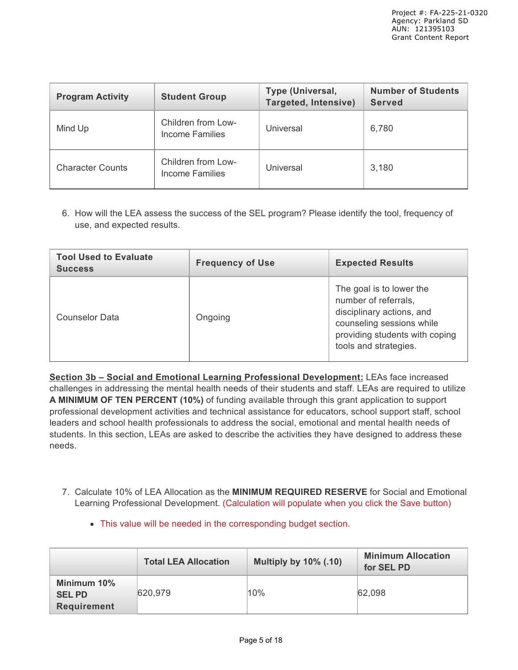| <b>Program Activity</b> | <b>Student Group</b>                  | <b>Type (Universal,</b><br>Targeted, Intensive) | <b>Number of Students</b><br><b>Served</b> |
|-------------------------|---------------------------------------|-------------------------------------------------|--------------------------------------------|
| Mind Up                 | Children from Low-<br>Income Families | Universal                                       | 6,780                                      |
| <b>Character Counts</b> | Children from Low-<br>Income Families | Universal                                       | 3,180                                      |

6. How will the LEA assess the success of the SEL program? Please identify the tool, frequency of use, and expected results.

| <b>Tool Used to Evaluate</b><br><b>Success</b> | <b>Frequency of Use</b> | <b>Expected Results</b>                                                                                                                                               |
|------------------------------------------------|-------------------------|-----------------------------------------------------------------------------------------------------------------------------------------------------------------------|
| Counselor Data                                 | Ongoing                 | The goal is to lower the<br>number of referrals.<br>disciplinary actions, and<br>counseling sessions while<br>providing students with coping<br>tools and strategies. |

**Section 3b – Social and Emotional Learning Professional Development:** LEAs face increased challenges in addressing the mental health needs of their students and staff. LEAs are required to utilize **A MINIMUM OF TEN PERCENT (10%)** of funding available through this grant application to support professional development activities and technical assistance for educators, school support staff, school leaders and school health professionals to address the social, emotional and mental health needs of students. In this section, LEAs are asked to describe the activities they have designed to address these needs.

- 7. Calculate 10% of LEA Allocation as the **MINIMUM REQUIRED RESERVE** for Social and Emotional Learning Professional Development. (Calculation will populate when you click the Save button)
	- This value will be needed in the corresponding budget section.

|                              | <b>Total LEA Allocation</b> | <b>Multiply by 10% (.10)</b> | <b>Minimum Allocation</b><br>for SEL PD |
|------------------------------|-----------------------------|------------------------------|-----------------------------------------|
| Minimum 10%<br><b>SEL PD</b> | 620,979                     | 10%                          | 62,098                                  |
| <b>Requirement</b>           |                             |                              |                                         |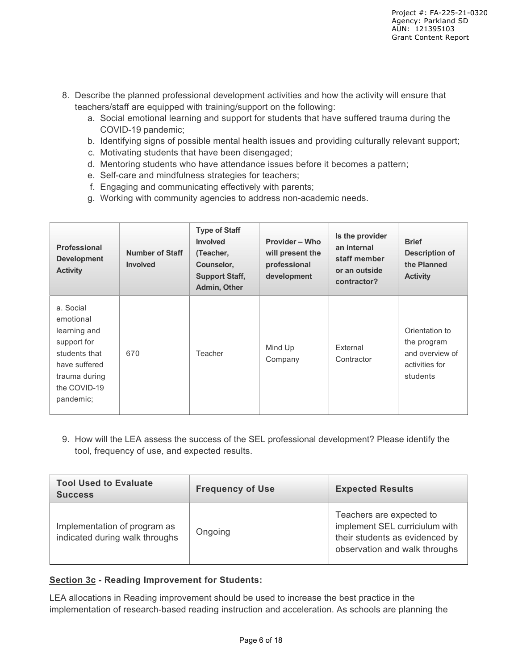- 8. Describe the planned professional development activities and how the activity will ensure that teachers/staff are equipped with training/support on the following:
	- a. Social emotional learning and support for students that have suffered trauma during the COVID-19 pandemic;
	- b. Identifying signs of possible mental health issues and providing culturally relevant support;
	- c. Motivating students that have been disengaged;
	- d. Mentoring students who have attendance issues before it becomes a pattern;
	- e. Self-care and mindfulness strategies for teachers;
	- f. Engaging and communicating effectively with parents;
	- g. Working with community agencies to address non-academic needs.

| Professional<br><b>Development</b><br><b>Activity</b>                                                                                 | <b>Number of Staff</b><br><b>Involved</b> | <b>Type of Staff</b><br><b>Involved</b><br>(Teacher,<br>Counselor,<br><b>Support Staff,</b><br>Admin, Other | Provider - Who<br>will present the<br>professional<br>development | Is the provider<br>an internal<br>staff member<br>or an outside<br>contractor? | <b>Brief</b><br><b>Description of</b><br>the Planned<br><b>Activity</b>        |
|---------------------------------------------------------------------------------------------------------------------------------------|-------------------------------------------|-------------------------------------------------------------------------------------------------------------|-------------------------------------------------------------------|--------------------------------------------------------------------------------|--------------------------------------------------------------------------------|
| a. Social<br>emotional<br>learning and<br>support for<br>students that<br>have suffered<br>trauma during<br>the COVID-19<br>pandemic; | 670                                       | Teacher                                                                                                     | Mind Up<br>Company                                                | External<br>Contractor                                                         | Orientation to<br>the program<br>and overview of<br>activities for<br>students |

9. How will the LEA assess the success of the SEL professional development? Please identify the tool, frequency of use, and expected results.

| <b>Tool Used to Evaluate</b><br><b>Success</b>                 | <b>Frequency of Use</b> | <b>Expected Results</b>                                                                                                       |
|----------------------------------------------------------------|-------------------------|-------------------------------------------------------------------------------------------------------------------------------|
| Implementation of program as<br>indicated during walk throughs | Ongoing                 | Teachers are expected to<br>implement SEL curriciulum with<br>their students as evidenced by<br>observation and walk throughs |

#### **Section 3c - Reading Improvement for Students:**

LEA allocations in Reading improvement should be used to increase the best practice in the implementation of research-based reading instruction and acceleration. As schools are planning the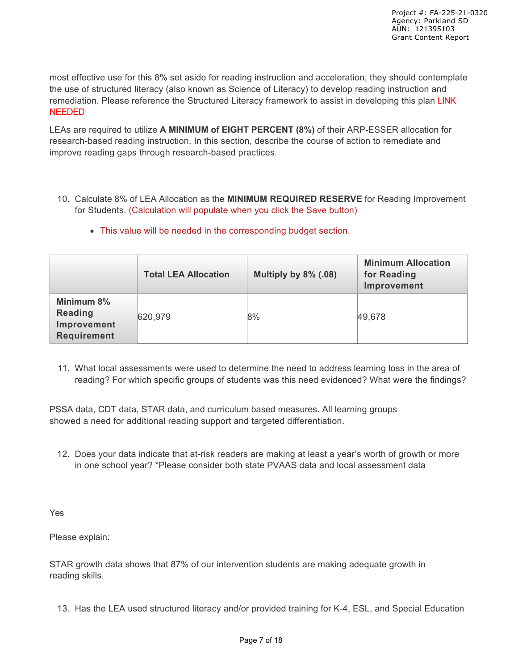most effective use for this 8% set aside for reading instruction and acceleration, they should contemplate the use of structured literacy (also known as Science of Literacy) to develop reading instruction and remediation. Please reference the Structured Literacy framework to assist in developing this plan LINK NEEDED

LEAs are required to utilize **A MINIMUM of EIGHT PERCENT (8%)** of their ARP-ESSER allocation for research-based reading instruction. In this section, describe the course of action to remediate and improve reading gaps through research-based practices.

10. Calculate 8% of LEA Allocation as the **MINIMUM REQUIRED RESERVE** for Reading Improvement for Students. (Calculation will populate when you click the Save button)

|                                                                   | <b>Total LEA Allocation</b> | Multiply by 8% (.08) | <b>Minimum Allocation</b><br>for Reading<br>Improvement |
|-------------------------------------------------------------------|-----------------------------|----------------------|---------------------------------------------------------|
| Minimum 8%<br><b>Reading</b><br>Improvement<br><b>Requirement</b> | 620,979                     | 8%                   | 49,678                                                  |

This value will be needed in the corresponding budget section.

11. What local assessments were used to determine the need to address learning loss in the area of reading? For which specific groups of students was this need evidenced? What were the findings?

PSSA data, CDT data, STAR data, and curriculum based measures. All learning groups showed a need for additional reading support and targeted differentiation.

12. Does your data indicate that at-risk readers are making at least a year's worth of growth or more in one school year? \*Please consider both state PVAAS data and local assessment data

Yes

Please explain:

STAR growth data shows that 87% of our intervention students are making adequate growth in reading skills.

13. Has the LEA used structured literacy and/or provided training for K-4, ESL, and Special Education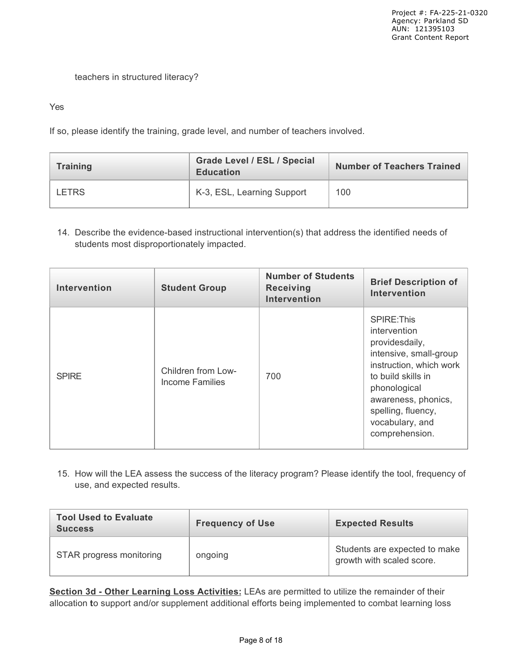teachers in structured literacy?

Yes

If so, please identify the training, grade level, and number of teachers involved.

| Training     | <b>Grade Level / ESL / Special</b><br><b>Education</b> | <b>Number of Teachers Trained</b> |
|--------------|--------------------------------------------------------|-----------------------------------|
| <b>LETRS</b> | K-3, ESL, Learning Support                             | 100                               |

14. Describe the evidence-based instructional intervention(s) that address the identified needs of students most disproportionately impacted.

| Intervention | <b>Student Group</b>                  | <b>Number of Students</b><br><b>Receiving</b><br>Intervention | <b>Brief Description of</b><br><b>Intervention</b>                                                                                                                                                                               |
|--------------|---------------------------------------|---------------------------------------------------------------|----------------------------------------------------------------------------------------------------------------------------------------------------------------------------------------------------------------------------------|
| <b>SPIRE</b> | Children from Low-<br>Income Families | 700                                                           | <b>SPIRE:This</b><br>intervention<br>providesdaily,<br>intensive, small-group<br>instruction, which work<br>to build skills in<br>phonological<br>awareness, phonics,<br>spelling, fluency,<br>vocabulary, and<br>comprehension. |

15. How will the LEA assess the success of the literacy program? Please identify the tool, frequency of use, and expected results.

| <b>Tool Used to Evaluate</b><br><b>Success</b> | <b>Frequency of Use</b> | <b>Expected Results</b>                                    |  |
|------------------------------------------------|-------------------------|------------------------------------------------------------|--|
| STAR progress monitoring                       | ongoing                 | Students are expected to make<br>growth with scaled score. |  |

**Section 3d - Other Learning Loss Activities:** LEAs are permitted to utilize the remainder of their allocation **t**o support and/or supplement additional efforts being implemented to combat learning loss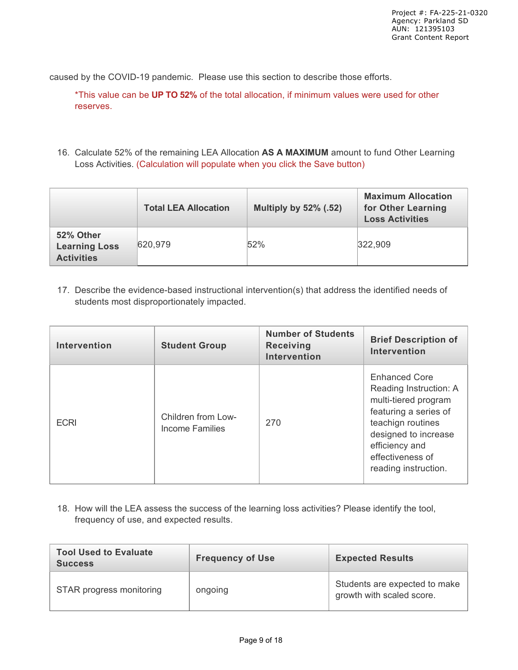caused by the COVID-19 pandemic. Please use this section to describe those efforts.

\*This value can be **UP TO 52%** of the total allocation, if minimum values were used for other reserves.

16. Calculate 52% of the remaining LEA Allocation **AS A MAXIMUM** amount to fund Other Learning Loss Activities. (Calculation will populate when you click the Save button)

|                                                        | <b>Total LEA Allocation</b> | <b>Multiply by 52% (.52)</b> | <b>Maximum Allocation</b><br>for Other Learning<br><b>Loss Activities</b> |
|--------------------------------------------------------|-----------------------------|------------------------------|---------------------------------------------------------------------------|
| 52% Other<br><b>Learning Loss</b><br><b>Activities</b> | 620,979                     | 52%                          | 322,909                                                                   |

17. Describe the evidence-based instructional intervention(s) that address the identified needs of students most disproportionately impacted.

| <b>Intervention</b> | <b>Student Group</b>                  | <b>Number of Students</b><br><b>Receiving</b><br><b>Intervention</b> | <b>Brief Description of</b><br><b>Intervention</b>                                                                                                                                                         |
|---------------------|---------------------------------------|----------------------------------------------------------------------|------------------------------------------------------------------------------------------------------------------------------------------------------------------------------------------------------------|
| <b>ECRI</b>         | Children from Low-<br>Income Families | 270                                                                  | <b>Enhanced Core</b><br>Reading Instruction: A<br>multi-tiered program<br>featuring a series of<br>teachign routines<br>designed to increase<br>efficiency and<br>effectiveness of<br>reading instruction. |

18. How will the LEA assess the success of the learning loss activities? Please identify the tool, frequency of use, and expected results.

| Tool Used to Evaluate<br><b>Success</b> | <b>Frequency of Use</b> | <b>Expected Results</b>                                    |
|-----------------------------------------|-------------------------|------------------------------------------------------------|
| STAR progress monitoring                | ongoing                 | Students are expected to make<br>growth with scaled score. |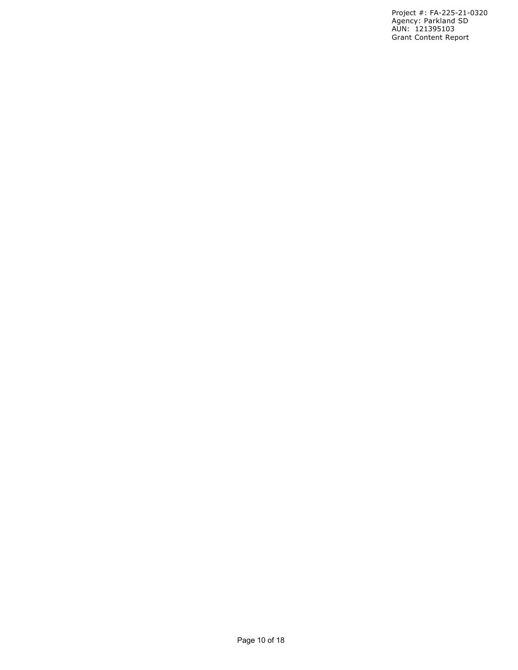Project #: FA-225-21-0320 Agency: Parkland SD AUN: 121395103 Grant Content Report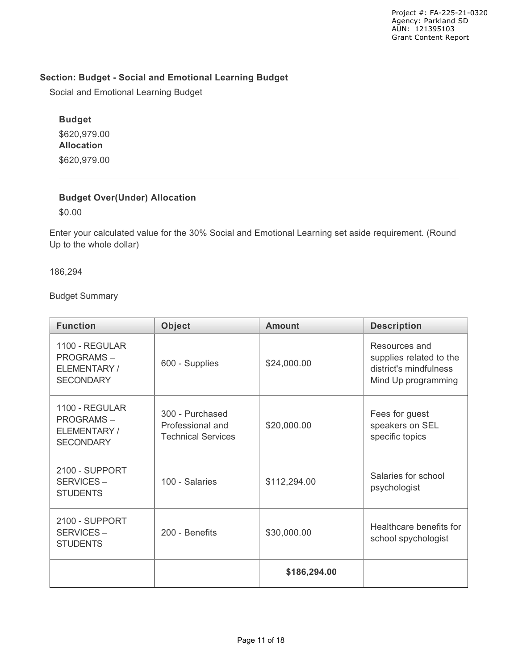#### **Section: Budget - Social and Emotional Learning Budget**

Social and Emotional Learning Budget

# **Budget**

\$620,979.00 **Allocation** \$620,979.00

# **Budget Over(Under) Allocation**

\$0.00

Enter your calculated value for the 30% Social and Emotional Learning set aside requirement. (Round Up to the whole dollar)

186,294

Budget Summary

| <b>Function</b>                                                              | <b>Object</b>                                                    | <b>Amount</b> | <b>Description</b>                                                                        |
|------------------------------------------------------------------------------|------------------------------------------------------------------|---------------|-------------------------------------------------------------------------------------------|
| 1100 - REGULAR<br><b>PROGRAMS-</b><br><b>FLEMENTARY/</b><br><b>SECONDARY</b> | 600 - Supplies                                                   | \$24,000.00   | Resources and<br>supplies related to the<br>district's mindfulness<br>Mind Up programming |
| 1100 - REGULAR<br><b>PROGRAMS-</b><br>ELEMENTARY /<br><b>SECONDARY</b>       | 300 - Purchased<br>Professional and<br><b>Technical Services</b> | \$20,000.00   | Fees for guest<br>speakers on SEL<br>specific topics                                      |
| 2100 - SUPPORT<br>SERVICES-<br><b>STUDENTS</b>                               | 100 - Salaries                                                   | \$112,294.00  | Salaries for school<br>psychologist                                                       |
| 2100 - SUPPORT<br>SERVICES-<br><b>STUDENTS</b>                               | 200 - Benefits                                                   | \$30,000.00   | Healthcare benefits for<br>school spychologist                                            |
|                                                                              |                                                                  | \$186,294.00  |                                                                                           |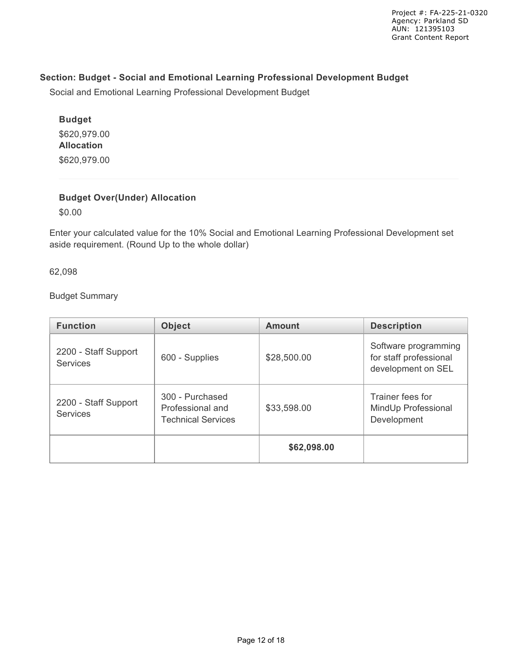#### **Section: Budget - Social and Emotional Learning Professional Development Budget**

Social and Emotional Learning Professional Development Budget

# **Budget**

\$620,979.00 **Allocation** \$620,979.00

#### **Budget Over(Under) Allocation**

\$0.00

Enter your calculated value for the 10% Social and Emotional Learning Professional Development set aside requirement. (Round Up to the whole dollar)

62,098

Budget Summary

| <b>Function</b>                         | <b>Object</b>                                                    | <b>Amount</b> | <b>Description</b>                                                   |
|-----------------------------------------|------------------------------------------------------------------|---------------|----------------------------------------------------------------------|
| 2200 - Staff Support<br><b>Services</b> | 600 - Supplies                                                   | \$28,500.00   | Software programming<br>for staff professional<br>development on SEL |
| 2200 - Staff Support<br><b>Services</b> | 300 - Purchased<br>Professional and<br><b>Technical Services</b> | \$33,598.00   | Trainer fees for<br>MindUp Professional<br>Development               |
|                                         |                                                                  | \$62,098.00   |                                                                      |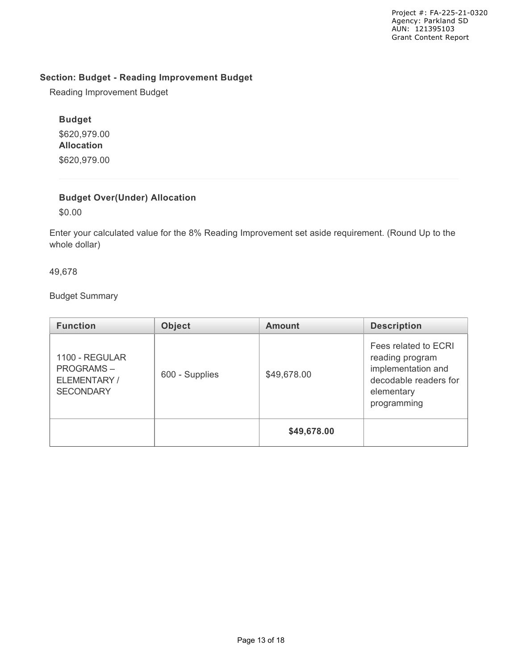#### **Section: Budget - Reading Improvement Budget**

Reading Improvement Budget

#### **Budget**

\$620,979.00 **Allocation** \$620,979.00

### **Budget Over(Under) Allocation**

\$0.00

Enter your calculated value for the 8% Reading Improvement set aside requirement. (Round Up to the whole dollar)

49,678

Budget Summary

| <b>Function</b>                                                        | <b>Object</b>  | <b>Amount</b> | <b>Description</b>                                                                                                  |
|------------------------------------------------------------------------|----------------|---------------|---------------------------------------------------------------------------------------------------------------------|
| 1100 - REGULAR<br><b>PROGRAMS-</b><br>ELEMENTARY /<br><b>SECONDARY</b> | 600 - Supplies | \$49,678.00   | Fees related to ECRI<br>reading program<br>implementation and<br>decodable readers for<br>elementary<br>programming |
|                                                                        |                | \$49,678.00   |                                                                                                                     |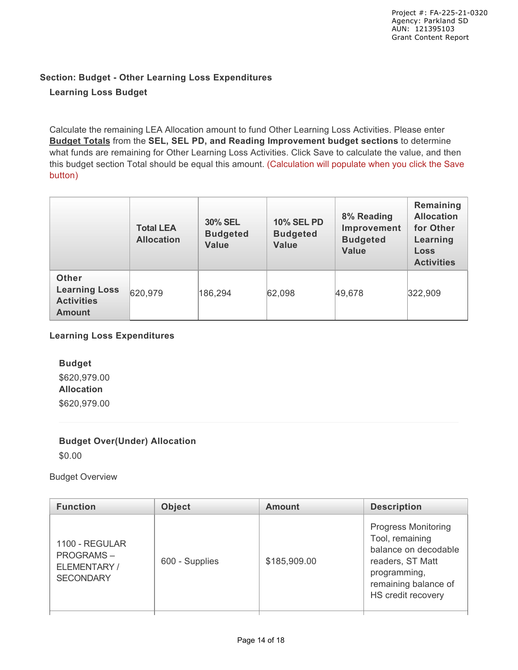# **Section: Budget - Other Learning Loss Expenditures Learning Loss Budget**

Calculate the remaining LEA Allocation amount to fund Other Learning Loss Activities. Please enter **Budget Totals** from the **SEL, SEL PD, and Reading Improvement budget sections** to determine what funds are remaining for Other Learning Loss Activities. Click Save to calculate the value, and then this budget section Total should be equal this amount. (Calculation will populate when you click the Save button)

|                                                                            | <b>Total LEA</b><br><b>Allocation</b> | <b>30% SEL</b><br><b>Budgeted</b><br><b>Value</b> | <b>10% SEL PD</b><br><b>Budgeted</b><br><b>Value</b> | 8% Reading<br>Improvement<br><b>Budgeted</b><br><b>Value</b> | Remaining<br><b>Allocation</b><br>for Other<br>Learning<br><b>Loss</b><br><b>Activities</b> |
|----------------------------------------------------------------------------|---------------------------------------|---------------------------------------------------|------------------------------------------------------|--------------------------------------------------------------|---------------------------------------------------------------------------------------------|
| <b>Other</b><br><b>Learning Loss</b><br><b>Activities</b><br><b>Amount</b> | 620,979                               | 186,294                                           | 62,098                                               | 49,678                                                       | 322,909                                                                                     |

#### **Learning Loss Expenditures**

**Budget** \$620,979.00 **Allocation** \$620,979.00

# **Budget Over(Under) Allocation**

\$0.00

#### Budget Overview

| <b>Function</b>                                                        | <b>Object</b>  | <b>Amount</b> | <b>Description</b>                                                                                                                                      |
|------------------------------------------------------------------------|----------------|---------------|---------------------------------------------------------------------------------------------------------------------------------------------------------|
| 1100 - REGULAR<br><b>PROGRAMS-</b><br>ELEMENTARY /<br><b>SECONDARY</b> | 600 - Supplies | \$185,909.00  | <b>Progress Monitoring</b><br>Tool, remaining<br>balance on decodable<br>readers, ST Matt<br>programming,<br>remaining balance of<br>HS credit recovery |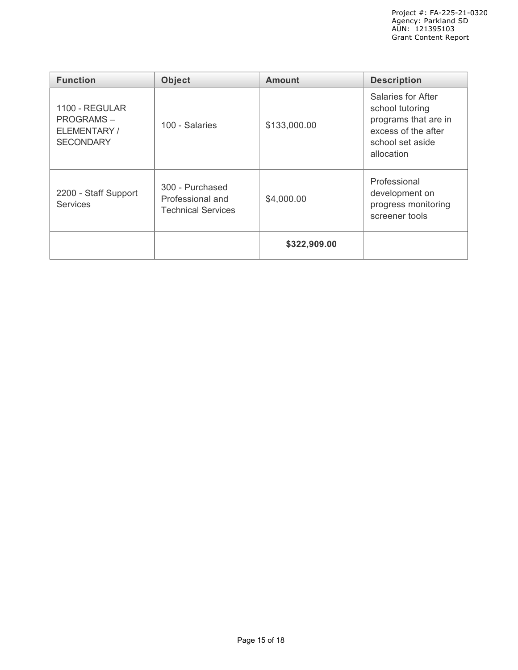| <b>Function</b>                                                               | <b>Object</b>                                                    | <b>Amount</b> | <b>Description</b>                                                                                                     |
|-------------------------------------------------------------------------------|------------------------------------------------------------------|---------------|------------------------------------------------------------------------------------------------------------------------|
| <b>1100 - REGULAR</b><br><b>PROGRAMS-</b><br>ELEMENTARY /<br><b>SECONDARY</b> | 100 - Salaries                                                   | \$133,000.00  | Salaries for After<br>school tutoring<br>programs that are in<br>excess of the after<br>school set aside<br>allocation |
| 2200 - Staff Support<br><b>Services</b>                                       | 300 - Purchased<br>Professional and<br><b>Technical Services</b> | \$4,000.00    | Professional<br>development on<br>progress monitoring<br>screener tools                                                |
|                                                                               |                                                                  | \$322,909.00  |                                                                                                                        |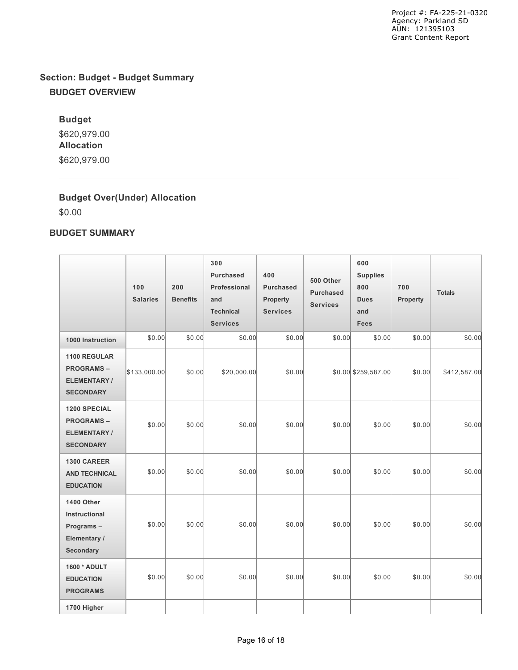# **Section: Budget - Budget Summary BUDGET OVERVIEW**

**Budget** \$620,979.00 **Allocation** \$620,979.00

# **Budget Over(Under) Allocation**

\$0.00

#### **BUDGET SUMMARY**

|                                                                                   | 100<br><b>Salaries</b> | 200<br><b>Benefits</b> | 300<br><b>Purchased</b><br>Professional<br>and<br><b>Technical</b> | 400<br><b>Purchased</b><br><b>Property</b><br><b>Services</b> | 500 Other<br><b>Purchased</b><br><b>Services</b> | 600<br><b>Supplies</b><br>800<br><b>Dues</b><br>and | 700<br>Property | <b>Totals</b> |
|-----------------------------------------------------------------------------------|------------------------|------------------------|--------------------------------------------------------------------|---------------------------------------------------------------|--------------------------------------------------|-----------------------------------------------------|-----------------|---------------|
|                                                                                   |                        | \$0.00                 | <b>Services</b><br>\$0.00                                          | \$0.00                                                        | \$0.00                                           | <b>Fees</b><br>\$0.00                               | \$0.00          |               |
| 1000 Instruction                                                                  | \$0.00                 |                        |                                                                    |                                                               |                                                  |                                                     |                 | \$0.00        |
| 1100 REGULAR<br><b>PROGRAMS-</b><br><b>ELEMENTARY/</b><br><b>SECONDARY</b>        | \$133,000.00           | \$0.00                 | \$20,000.00                                                        | \$0.00                                                        |                                                  | \$0.00 \$259,587.00                                 | \$0.00          | \$412,587.00  |
| <b>1200 SPECIAL</b><br><b>PROGRAMS-</b><br><b>ELEMENTARY/</b><br><b>SECONDARY</b> | \$0.00                 | \$0.00                 | \$0.00                                                             | \$0.00                                                        | \$0.00                                           | \$0.00                                              | \$0.00          | \$0.00        |
| <b>1300 CAREER</b><br><b>AND TECHNICAL</b><br><b>EDUCATION</b>                    | \$0.00                 | \$0.00                 | \$0.00                                                             | \$0.00                                                        | \$0.00                                           | \$0.00                                              | \$0.00          | \$0.00        |
| 1400 Other<br>Instructional<br>Programs-<br>Elementary /<br><b>Secondary</b>      | \$0.00                 | \$0.00                 | \$0.00                                                             | \$0.00                                                        | \$0.00                                           | \$0.00                                              | \$0.00          | \$0.00        |
| 1600 * ADULT<br><b>EDUCATION</b><br><b>PROGRAMS</b>                               | \$0.00                 | \$0.00                 | \$0.00                                                             | \$0.00                                                        | \$0.00                                           | \$0.00                                              | \$0.00          | \$0.00        |
| 1700 Higher                                                                       |                        |                        |                                                                    |                                                               |                                                  |                                                     |                 |               |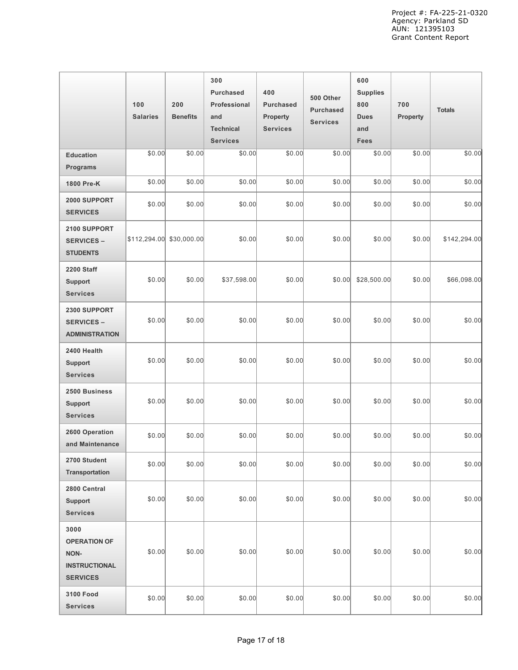|                                                                                | 100<br><b>Salaries</b> | 200<br><b>Benefits</b> | 300<br><b>Purchased</b><br>Professional<br>and<br><b>Technical</b><br><b>Services</b> | 400<br><b>Purchased</b><br>Property<br><b>Services</b> | 500 Other<br><b>Purchased</b><br><b>Services</b> | 600<br><b>Supplies</b><br>800<br><b>Dues</b><br>and<br><b>Fees</b> | 700<br>Property | <b>Totals</b> |
|--------------------------------------------------------------------------------|------------------------|------------------------|---------------------------------------------------------------------------------------|--------------------------------------------------------|--------------------------------------------------|--------------------------------------------------------------------|-----------------|---------------|
| <b>Education</b><br><b>Programs</b>                                            | \$0.00                 | \$0.00                 | \$0.00                                                                                | \$0.00                                                 | \$0.00                                           | \$0.00                                                             | \$0.00          | \$0.00        |
| 1800 Pre-K                                                                     | \$0.00                 | \$0.00                 | \$0.00                                                                                | \$0.00                                                 | \$0.00                                           | \$0.00                                                             | \$0.00          | \$0.00        |
| 2000 SUPPORT<br><b>SERVICES</b>                                                | \$0.00                 | \$0.00                 | \$0.00                                                                                | \$0.00                                                 | \$0.00                                           | \$0.00                                                             | \$0.00          | \$0.00        |
| 2100 SUPPORT<br><b>SERVICES -</b><br><b>STUDENTS</b>                           | \$112,294.00           | \$30,000.00            | \$0.00                                                                                | \$0.00                                                 | \$0.00                                           | \$0.00                                                             | \$0.00          | \$142,294.00  |
| <b>2200 Staff</b><br><b>Support</b><br><b>Services</b>                         | \$0.00                 | \$0.00                 | \$37,598.00                                                                           | \$0.00                                                 | \$0.00                                           | \$28,500.00                                                        | \$0.00          | \$66,098.00   |
| 2300 SUPPORT<br><b>SERVICES -</b><br><b>ADMINISTRATION</b>                     | \$0.00                 | \$0.00                 | \$0.00                                                                                | \$0.00                                                 | \$0.00                                           | \$0.00                                                             | \$0.00          | \$0.00        |
| 2400 Health<br><b>Support</b><br><b>Services</b>                               | \$0.00                 | \$0.00                 | \$0.00                                                                                | \$0.00                                                 | \$0.00                                           | \$0.00                                                             | \$0.00          | \$0.00        |
| 2500 Business<br><b>Support</b><br><b>Services</b>                             | \$0.00                 | \$0.00                 | \$0.00                                                                                | \$0.00                                                 | \$0.00                                           | \$0.00                                                             | \$0.00          | \$0.00        |
| 2600 Operation<br>and Maintenance                                              | \$0.00                 | \$0.00                 | \$0.00                                                                                | \$0.00                                                 | \$0.00                                           | \$0.00                                                             | \$0.00          | \$0.00        |
| 2700 Student<br>Transportation                                                 | \$0.00                 | \$0.00                 | \$0.00                                                                                | \$0.00                                                 | \$0.00                                           | \$0.00                                                             | \$0.00          | \$0.00        |
| 2800 Central<br><b>Support</b><br><b>Services</b>                              | \$0.00                 | \$0.00                 | \$0.00                                                                                | \$0.00                                                 | \$0.00                                           | \$0.00                                                             | \$0.00          | \$0.00        |
| 3000<br><b>OPERATION OF</b><br>NON-<br><b>INSTRUCTIONAL</b><br><b>SERVICES</b> | \$0.00                 | \$0.00                 | \$0.00                                                                                | \$0.00                                                 | \$0.00                                           | \$0.00                                                             | \$0.00          | \$0.00        |
| <b>3100 Food</b><br><b>Services</b>                                            | \$0.00                 | \$0.00                 | \$0.00                                                                                | \$0.00                                                 | \$0.00                                           | \$0.00                                                             | \$0.00          | \$0.00        |